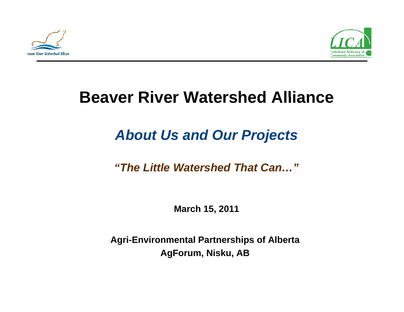



# **Beaver River Watershed Alliance**

# *About Us and Our Projects*

### *"The Little Watershed That Can…"*

**March 15, 2011**

**Agri-Environmental Partnerships of Alberta AgForum Nisku AB AgForum, Nisku, AB**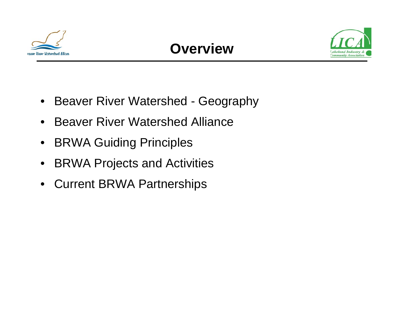

### **Overview**



- Beaver River Watershed Geography
- $\bullet$ Beaver River Watershed Alliance
- $\bullet$ BRWA Guiding Principles
- $\bullet$ BRWA Projects and Activities
- Current BRWA Partnerships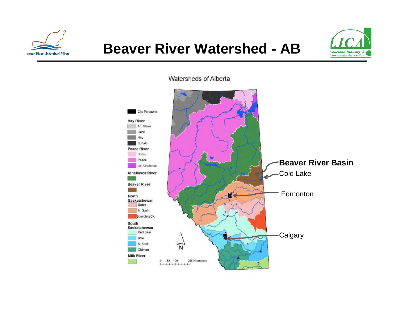

### **Beaver River Watershed - AB**



#### Watersheds of Alberta

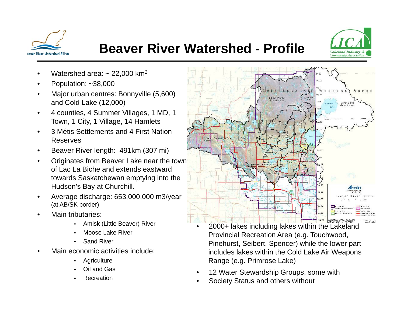

### **Beaver River Watershed - Profile**

•



- •Watershed area:  $\sim$  22,000 km<sup>2</sup>
- •Population: ~38,000
- •Major urban centres: Bonnyville (5,600) and Cold Lake (12,000)
- • 4 counties, 4 Summer Villages, 1 MD, 1 Town, 1 City, 1 Village, 14 Hamlets
- • 3 Métis Settlements and 4 First Nation Reserves
- •Beaver River length: 491km (307 mi)
- •Originates from Beaver Lake near the town of Lac La Biche and extends eastward towards Saskatchewan emptying into the Hudson's Bay at Churchill.
- • Average discharge: 653,000,000 m3/year (at AB/SK border)
- • Main tributaries:
	- Amisk (Little Beaver) River
	- •Moose Lake River
	- •Sand River
- • Main economic activities include:
	- •**Agriculture**
	- •Oil and Gas
	- •Recreation



- 2000+ lakes including lakes within the Lakeland Provincial Recreation Area (e.g. Touchwood, Pinehurst, Seibert, Spencer) while the lower part includes lakes within the Cold Lake Air Weapons Range (e.g. Primrose Lake)
- •12 Water Stewardship Groups, some with
- •Society Status and others without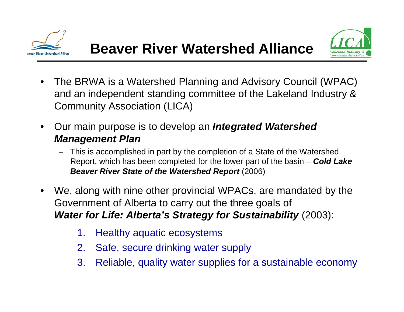



- $\bullet$  The BRWA is a Watershed Planning and Advisory Council (WPAC) and an independent standing committee of the Lakeland Industry  $\&$ Community Association (LICA)
- $\bullet$  Our main purpose is to develop an *Integrated Watershed M t Pl anagemen Plan*
	- This is accomplished in part by the completion of a State of the Watershed Report, which has been completed for the lower part of the basin – *Cold Lake*  **Beaver River State of the Watershed Report (2006)**
- $\bullet$  We, along with nine other provincial WPACs, are mandated by the Government of Alberta to carry out the three goals of *Water for Life: Alberta s' Strategy for Sustainability* (2003):
	- 1. Healthy aquatic ecosystems
	- 2. Safe, secure drinking water supply
	- 3. Reliable, quality water supplies for a sustainable economy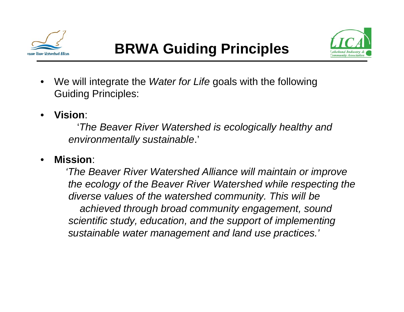



- $\bullet$  We will integrate the *Water for Life* goals with the following Guiding Principles:
- •**Vision**:

'*The Beaver River Watershed is ecologically healthy and envi t ll t i bl ironmen tally sus ta inable*.'

•**Mission**:

> *'The Beaver River Watershed Alliance will maintain or improve the ecology of the Beaver River Watershed while respecting the diverse values of the watershed community. This will be achieved through broad community engagement, sound scientific study, education, and the support of implementing sustainable water management and land use practices.'*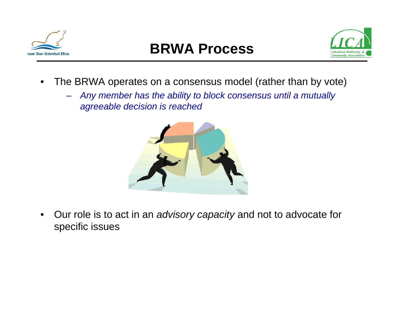

## **BRWA Process**



- $\bullet$  The BRWA operates on a consensus model (rather than by vote)
	- $\rightarrow$  *Any member has the ability to block consensus until <sup>a</sup> mutually agreeable decision is reached*



 $\bullet$  Our role is to act in an act *advisory capacity* and not to advocate for specific issues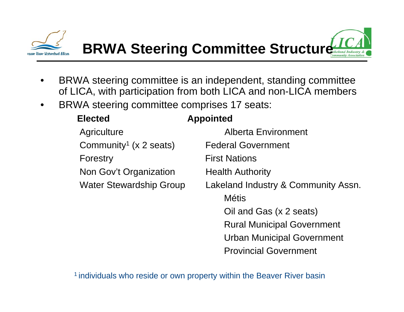

- • BRWA steering committee is an independent, standing committee of LICA, with participation from both LICA and non-LICA members
- $\bullet$ BRWA steering committee comprises 17 seats:

| <b>Elected</b> |                                    | <b>Appointed</b>                    |
|----------------|------------------------------------|-------------------------------------|
|                | Agriculture                        | <b>Alberta Environment</b>          |
|                | Community <sup>1</sup> (x 2 seats) | <b>Federal Government</b>           |
|                | Forestry                           | <b>First Nations</b>                |
|                | Non Gov't Organization             | <b>Health Authority</b>             |
|                | <b>Water Stewardship Group</b>     | Lakeland Industry & Community Assn. |
|                |                                    | <b>Métis</b>                        |
|                |                                    | Oil and Gas (x 2 seats)             |
|                |                                    | <b>Rural Municipal Government</b>   |
|                |                                    | <b>Urban Municipal Government</b>   |
|                |                                    | <b>Provincial Government</b>        |
|                |                                    |                                     |

<sup>1</sup> individuals who reside or own property within the Beaver River basin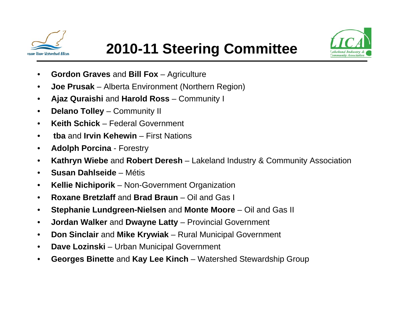



- $\bullet$ **Gordon Graves and Bill Fox – Agriculture**
- $\bullet$ **Joe Prusak** – Alberta Environment (Northern Region)
- $\bullet$  $\bullet$  **Ajaz Quraishi** and **Harold Ross** – Community I
- $\bullet$ **Delano Tolley** – Community II
- $\bullet$ **Keith Schick** – Federal Government
- $\bullet$ **tba** and **Irvin Kehewin**– First Nations
- $\bullet$ **Adolph Porcina** - Forestry
- $\bullet$ **Kathryn Wiebe** and **Robert Deresh** – Lakeland Industry & Community Association
- $\bullet$  **Susan Dahlseide**– Métis
- •**Kellie Nichiporik** – Non-Government Organization
- $\bullet$ **Roxane Bretzlaff** and **Brad Braun** – Oil and Gas I
- $\bullet$ **Stephanie Lundgreen-Nielsen** and **Monte Moore** – Oil and Gas II
- $\bullet$ **Jordan Walker and Dwayne Latty – Provincial Government**
- $\bullet$ **Don Sinclair** and **Mike Krywiak** – Rural Municipal Government
- $\bullet$ **Dave Lozinski** – Urban Municipal Government
- $\bullet$ **Georges Binette** and **Kay Lee Kinch** – Watershed Stewardship Group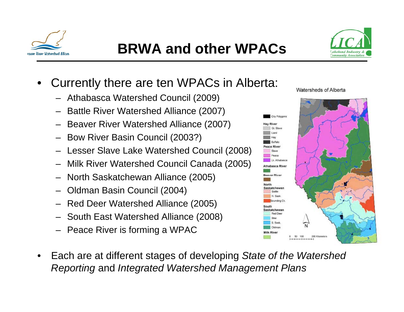



- • Currently there are ten WPACs in Alberta:
	- Athabasca Watershed Council (2009) (2009)
	- Battle River Watershed Alliance (2007)
	- Beaver River Watershed Alliance (2007)
	- Bow River Basin Council (2003?)
	- Lesser Slave Lake Watershed Council (2008)
	- Milk River Watershed Council Canada (2005)
	- North Saskatchewan Alliance (2005)
	- Oldman Basin Council (2004)
	- Red Deer Watershed Alliance (2005)
	- South East Watershed Alliance (2008)
	- Peace River is forming a WPAC
- • Each are at different stages of developing *State of the Watershed Reporting* and *Integrated Watershed Management Plans*

Watersheds of Alberta

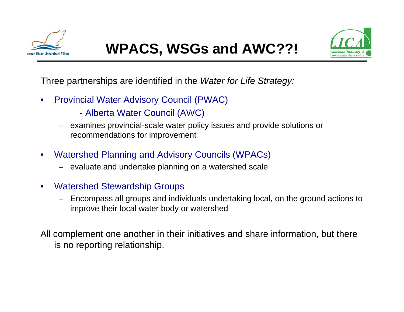



Three partnerships are identified in the *Water for Life Strategy:*

- $\bullet$ • Provincial Water Advisory Council (PWAC)
	- Alberta Water Council (AWC)
	- examines provincial-scale water policy issues and provide solutions or recommendations for improvement
- $\bullet$  Watershed Planning and Advisory Councils (WPACs)
	- evaluate and undertake planning on a watershed scale
- $\bullet$  Watershed Stewardship Groups
	- Encompass all groups and individuals undertaking local, on the ground actions to improve their local water body or watershed

All complement one another in their initiatives and share information, but there is no reporting relationship.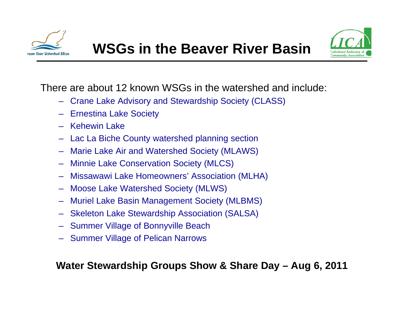



There are about 12 known WSGs in the watershed and include:

- Crane Lake Advisory and Stewardship Society (CLASS)
- Ernestina Lake Society
- Kehewin Lake
- Lac La Biche County watershed planning section
- Marie Lake Air and Watershed Society (MLAWS)
- Minnie Lake Conservation Society (MLCS)
- Missawawi Lake Homeowners' Association (MLHA)
- Moose Lake Watershed Society (MLWS)
- Muriel Lake Basin Management Society (MLBMS)
- Skeleton Lake Stewardship Association (SALSA)
- Summer Village of Bonnyville Beach
- Summer Village of Pelican Narrows

**Water Stewardship Groups Show & Share Day – Aug 6, 2011**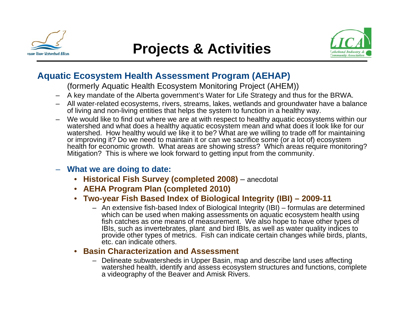

### **Projects & Activities**



#### **Aquatic Ecosystem Health Assessment Program (AEHAP)**

(formerly Aquatic Health Ecosystem Monitoring Project (AHEM))

- $\,$  A key mandate of the Alberta government's Water for Life Strategy and thus for the BRWA.
- All water-related ecosystems, rivers, streams, lakes, wetlands and groundwater have a balance of living and non-living entities that helps the system to function in a healthy way.
- We would like to find out where we are at with respect to healthy aquatic ecosystems within our watershed and what does a healthy aquatic ecosystem mean and what does it look like for our watershed. How healthy would we like it to be? What are we willing to trade off for maintaining or improving it? Do we need to maintain it or can we sacrifice some (or a lot of) ecosystem health for economic growth. What areas are showing stress? Which areas require monitoring? Mitigation? This is where we look forward to getting input from the community.

#### – **What we are doing to date:**

- **Historical Fish Survey (completed 2008)** anecdotal
- **AEHA Program Plan (completed 2010)**
- **Two-year Fish Based Index of Biological Integrity (IBI) – 2009-11**
	- An extensive fish-based Index of Biological Integrity (IBI) formulas are determined which can be used when making assessments on aguatic ecosystem health using fish catches as one means of measurement. We also hope to have other types of IBIs, such as invertebrates, plant and bird IBIs, as well as water quality indices to provide other types of metrics. Fish can indicate certain changes while birds, plants, etc. can indicate others.

#### $\bullet$ **Basin Characterization and Assessment**

– Delineate subwatersheds in Upper Basin, map and describe land uses affecting watershed health, identify and assess ecosystem structures and functions, complete a videography of the Beaver and Amisk Rivers.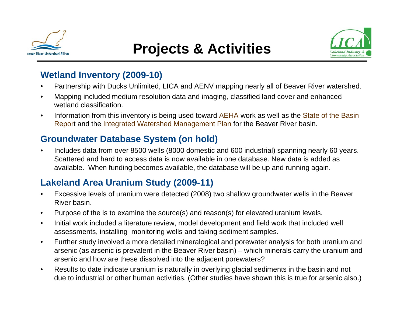

### **Projects & Activities**



#### **Wetland Inventory (2009-10)**

- •Partnership with Ducks Unlimited, LICA and AENV mapping nearly all of Beaver River watershed.
- •Mapping included medium resolution data and imaging, classified land cover and enhanced wetland classification.
- $\bullet$  Information from this inventory is being used toward AEHA work as well as the State of the Basin Report and the Integrated Watershed Management Plan for the Beaver River basin.

### Groundwater Database System (on hold)

• Includes data from over 8500 wells (8000 domestic and 600 industrial) spanning nearly 60 years. Scattered and hard to access data is now available in one database. New data is added as available. When funding becomes available, the database will be up and running again.

### **Lakeland Area Uranium Study (2009-11)**

- • Excessive levels of uranium were detected (2008) two shallow groundwater wells in the Beaver River basin.
- •Purpose of the is to examine the source(s) and reason(s) for elevated uranium levels.
- $\bullet$  Initial work included a literature review, model development and field work that included well assessments, installing monitoring wells and taking sediment samples.
- • Further study involved a more detailed mineralogical and porewater analysis for both uranium and arsenic (as arsenic is prevalent in the Beaver River basin) – which minerals carry the uranium and arsenic and how are these dissolved into the adjacent porewaters?
- $\bullet$  Results to date indicate uranium is naturally in overlying glacial sediments in the basin and not due to industrial or other human activities. (Other studies have shown this is true for arsenic also.)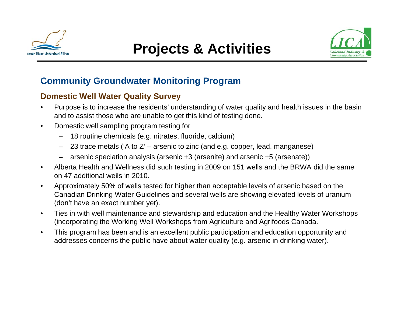



#### **Community Groundwater Monitoring Program**

#### **Domestic Well Water Quality Survey**

- • Purpose is to increase the residents' understanding of water quality and health issues in the basin and to assist those who are unable to get this kind of testing done.
- • Domestic well sampling program testing for
	- 18 routine chemicals (e.g. nitrates, fluoride, calcium)
	- 23 trace metals ('A to Z' arsenic to zinc (and e.g. copper, lead, manganese)
	- arsenic speciation analysis (arsenic +3 (arsenite) and arsenic +5 (arsenate))
- • Alberta Health and Wellness did such testing in 2009 on 151 wells and the BRWA did the same on 47 additional wells in 2010.
- • Approximately 50% of wells tested for higher than acceptable levels of arsenic based on the Canadian Drinking Water Guidelines and several wells are showing elevated levels of uranium (don't have an exact number yet).
- $\bullet$ Ties in with well maintenance and stewardship and education and the Healthy Water Workshops (incorporating the Working Well Workshops from Agriculture and Agrifoods Canada.
- • This program has been and is an excellent public participation and education opportunity and addresses concerns the public have about water quality (e.g. arsenic in drinking water).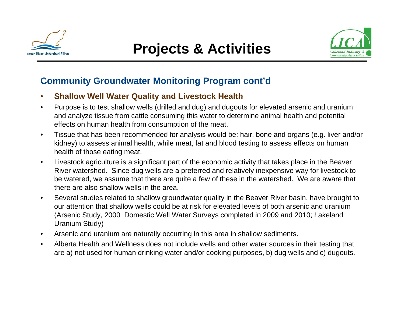



#### **Community Groundwater Monitoring Program cont'd**

- •**Shallow Well Water Quality and Livestock Health Health**
- $\bullet$  Purpose is to test shallow wells (drilled and dug) and dugouts for elevated arsenic and uranium and analyze tissue from cattle consuming this water to determine animal health and potential effects on human health from consumption of the meat.
- $\bullet$ Tissue that has been recommended for analysis would be: hair, bone and organs (e.g. liver and/or kidney) to assess animal health, while meat, fat and blood testing to assess effects on human health of those eating meat.
- • Livestock agriculture is a significant part of the economic activity that takes place in the Beaver River watershed. Since dug wells are a preferred and relatively inexpensive way for livestock to be watered, we assume that there are quite a few of these in the watershed. We are aware that there are also shallow wells in the area.
- • Several studies related to shallow groundwater quality in the Beaver River basin, have brought to our attention that shallow wells could be at risk for elevated levels of both arsenic and uranium (Arsenic Study, 2000 Domestic Well Water Surveys completed in 2009 and 2010; Lakeland Uranium Study)
- $\bullet$ Arsenic and uranium are naturally occurring in this area in shallow sediments.
- • Alberta Health and Wellness does not include wells and other water sources in their testing that are a) not used for human drinking water and/or cooking purposes, b) dug wells and c) dugouts.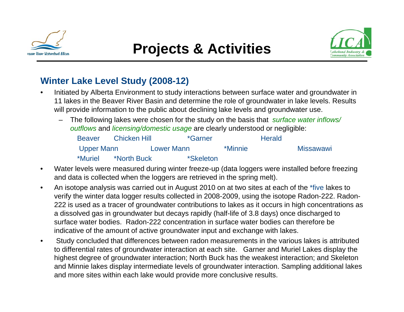



### **Winter Lake Level Study (2008-12)**

- • Initiated by Alberta Environment to study interactions between surface water and groundwater in 11 lakes in the Beaver River Basin and determine the role of groundwater in lake levels. Results will provide information to the public about declining lake levels and groundwater use.
	- The following lakes were chosen for the study on the basis that *surface water inflows/ outflows* and *licensing/domestic usage* are clearly understood or negligible:

| <b>Beaver</b> | <b>Chicken Hill</b> | *Garner          |                | <b>Herald</b> |                  |
|---------------|---------------------|------------------|----------------|---------------|------------------|
| Upper Mann    |                     | Lower Mann       | <i>*Minnie</i> |               | <b>Missawawi</b> |
| *Muriel       | *North Buck         | <i>*Skeleton</i> |                |               |                  |

- • Water levels were measured during winter freeze-up (data loggers were installed before freezing and data is collected when the loggers are retrieved in the spring melt).
- • An isotope analysis was carried out in August 2010 on at two sites at each of the \*five lakes to verify the winter data logger results collected in 2008-2009, using the isotope Radon-222. Radon-222 is used as a tracer of groundwater contributions to lakes as it occurs in high concentrations as a dissolved gas in groundwater but decays rapidly (half-life of 3.8 days) once discharged to surface water bodies. Radon-222 concentration in surface water bodies can therefore be indicative of the amount of active groundwater input and exchange with lakes.
- $\bullet$  Study concluded that differences between radon measurements in the various lakes is attributed to differential rates of groundwater interaction at each site. Garner and Muriel Lakes display the highest degree of groundwater interaction; North Buck has the weakest interaction; and Skeleton and Minnie lakes display intermediate levels of groundwater interaction. Sampling additional lakes and more sites within each lake would provide more conclusive results.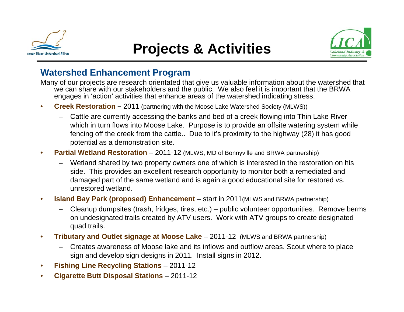

### **Projects & Activities**



#### **Watershed Enhancement Program**

Many of our projects are research orientated that give us valuable information about the watershed that we can share with our stakeholders and the public. We also feel it is important that the BRWA engages in 'action' activities that enhance areas of the watershed indicating stress.

- •**• Creek Restoration –** 2011 (partnering with the Moose Lake Watershed Society (MLWS))
	- Cattle are currently accessing the banks and bed of a creek flowing into Thin Lake River which in turn flows into Moose Lake. Purpose is to provide an offsite watering system while fencing off the creek from the cattle.. Due to it's proximity to the highway (28) it has good potential as a demonstration site.
- $\bullet$  **Partial Wetland Restoration** – 2011-12 (MLWS, MD of Bonnyville and BRWA partnership)
	- Wetland shared by two property owners one of which is interested in the restoration on his side. This provides an excellent research opportunity to monitor both a remediated and damaged part of the same wetland and is again a good educational site for restored vs. unrestored wetland.
- • **Island Bay Park (proposed) Enhancement** – start in 2011(MLWS and BRWA partnership)
	- Cleanup dumpsites (trash, fridges, tires, etc.) public volunteer opportunities. Remove berms on undesignated trails created by ATV users. Work with ATV groups to create designated quad trails.
- • **Tributary and Outlet signage at Moose Lake** – 2011-12 (MLWS and BRWA partnership)
	- Creates awareness of Moose lake and its inflows and outflow areas. Scout where to place sign and develop sign designs in 2011. Install signs in 2012.
- •**Fishing Line Recycling Stations** – 2011-12
- •**Cigarette Butt Disposal Stations** – 2011-12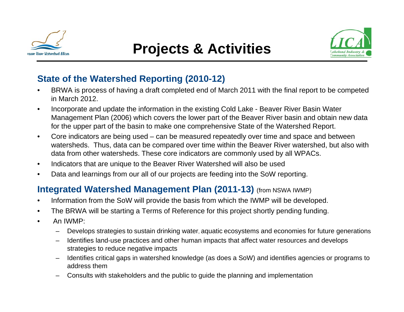



#### **State of the Watershed Reporting (2010-12)**

- • BRWA is process of having a draft completed end of March 2011 with the final report to be competed in March 2012.
- • Incorporate and update the information in the existing Cold Lake - Beaver River Basin Water Management Plan (2006) which covers the lower part of the Beaver River basin and obtain new data for the upper part of the basin to make one comprehensive State of the Watershed Report.
- $\bullet$ Core indicators are being used  $-$  can be measured repeatedly over time and space and between watersheds. Thus, data can be compared over time within the Beaver River watershed, but also with data from other watersheds. These core indicators are commonly used by all WPACs.
- $\bullet$ Indicators that are unique to the Beaver River Watershed will also be used
- $\bullet$ Data and learnings from our all of our projects are feeding into the SoW reporting.

#### **Integrated Watershed Management Plan (2011-13)** (from NSWA IWMP)

- •Information from the SoW will provide the basis from which the IWMP will be developed.
- •The BRWA will be starting a Terms of Reference for this project shortly pending funding.
- • An IWMP:
	- –Develops strategies to sustain drinking water, aquatic ecosystems and economies for future generations
	- – Identifies land-use practices and other human impacts that affect water resources and develops strategies to reduce negative impacts
	- – Identifies critical gaps in watershed knowledge (as does a SoW) and identifies agencies or programs to address them
	- Consults with stakeholders and the public to guide the planning and implementation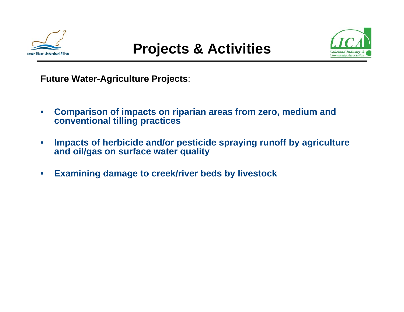



**Future Water-Agriculture Projects**:

- $\bullet$  **Comparison of impacts on riparian areas from zero, medium and conventional tilling practices**
- $\bullet$  **Impacts of herbicide and/or pesticide spraying runoff by agriculture and oil/gas on surface water quality**
- $\bullet$ **Examining damage to creek/river beds by livestock**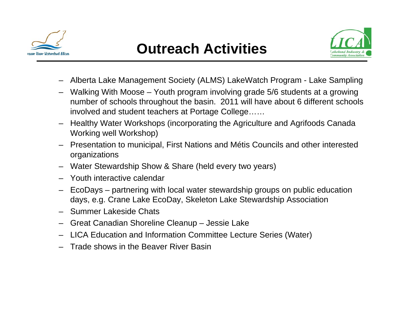

### **Outreach Activities**



- Alberta Lake Management Society (ALMS) LakeWatch Program Lake Sampling
- Walking With Moose Youth program involving grade 5/6 students at a growing number of schools throughout the basin. 2011 will have about 6 different schools involved and student teachers at Portage College……
- Healthy Water Workshops (incorporating the Agriculture and Agrifoods Canada Working well Workshop)
- Presentation to municipal, First Nations and Métis Councils and other interested organizations
- Water Stewardship Show & Share (held every two years)
- Youth interactive calendar
- EcoDays partnering with local water stewardship groups on public education days, e.g. Crane Lake EcoDay, Skeleton Lake Stewardship Association
- Summer Lakeside Chats
- Great Canadian Shoreline Cleanup Jessie Lake
- LICA Education and Information Committee Lecture Series (Water)
- Trade shows in the Beaver River Basin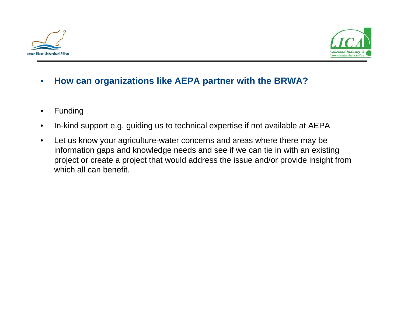



#### •**How can organizations like AEPA partner with the BRWA?**

- •Funding
- •In-kind support e.g. guiding us to technical expertise if not available at AEPA
- $\bullet$  Let us know your agriculture-water concerns and areas where there may be information gaps and knowledge needs and see if we can tie in with an existing project or create a project that would address the issue and/or provide insight from which all can benefit.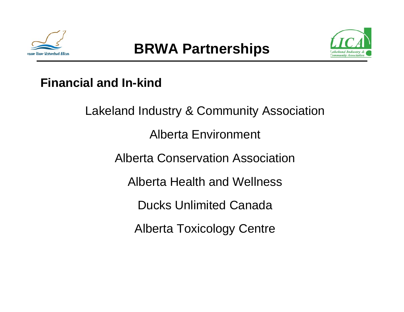



### **Financial and In-kind**

Lakeland Industry & Community Association Alberta Environment Alberta Conservation AssociationAlberta Health and WellnessDucks Unlimited CanadaAlberta Toxicology Centre